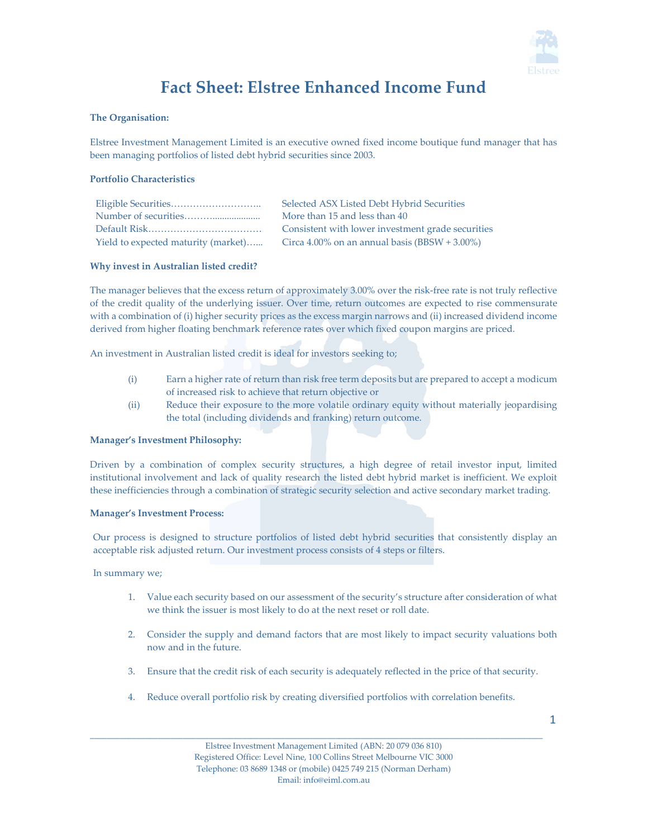

# Fact Sheet: Elstree Enhanced Income Fund

## The Organisation:

Elstree Investment Management Limited is an executive owned fixed income boutique fund manager that has been managing portfolios of listed debt hybrid securities since 2003.

# Portfolio Characteristics

|                                     | Selected ASX Listed Debt Hybrid Securities        |
|-------------------------------------|---------------------------------------------------|
|                                     | More than 15 and less than 40                     |
|                                     | Consistent with lower investment grade securities |
| Yield to expected maturity (market) | Circa $4.00\%$ on an annual basis (BBSW + 3.00%)  |

# Why invest in Australian listed credit?

The manager believes that the excess return of approximately 3.00% over the risk-free rate is not truly reflective of the credit quality of the underlying issuer. Over time, return outcomes are expected to rise commensurate with a combination of (i) higher security prices as the excess margin narrows and (ii) increased dividend income derived from higher floating benchmark reference rates over which fixed coupon margins are priced.

An investment in Australian listed credit is ideal for investors seeking to;

- (i) Earn a higher rate of return than risk free term deposits but are prepared to accept a modicum of increased risk to achieve that return objective or
- (ii) Reduce their exposure to the more volatile ordinary equity without materially jeopardising the total (including dividends and franking) return outcome.

### Manager's Investment Philosophy:

Driven by a combination of complex security structures, a high degree of retail investor input, limited institutional involvement and lack of quality research the listed debt hybrid market is inefficient. We exploit these inefficiencies through a combination of strategic security selection and active secondary market trading.

### Manager's Investment Process:

Our process is designed to structure portfolios of listed debt hybrid securities that consistently display an acceptable risk adjusted return. Our investment process consists of 4 steps or filters.

In summary we;

- 1. Value each security based on our assessment of the security's structure after consideration of what we think the issuer is most likely to do at the next reset or roll date.
- 2. Consider the supply and demand factors that are most likely to impact security valuations both now and in the future.
- 3. Ensure that the credit risk of each security is adequately reflected in the price of that security.
- 4. Reduce overall portfolio risk by creating diversified portfolios with correlation benefits.

\_\_\_\_\_\_\_\_\_\_\_\_\_\_\_\_\_\_\_\_\_\_\_\_\_\_\_\_\_\_\_\_\_\_\_\_\_\_\_\_\_\_\_\_\_\_\_\_\_\_\_\_\_\_\_\_\_\_\_\_\_\_\_\_\_\_\_\_\_\_\_\_\_\_\_\_\_\_\_\_\_\_\_\_\_\_\_\_\_\_\_\_\_\_\_\_\_\_\_\_\_\_\_\_\_\_\_